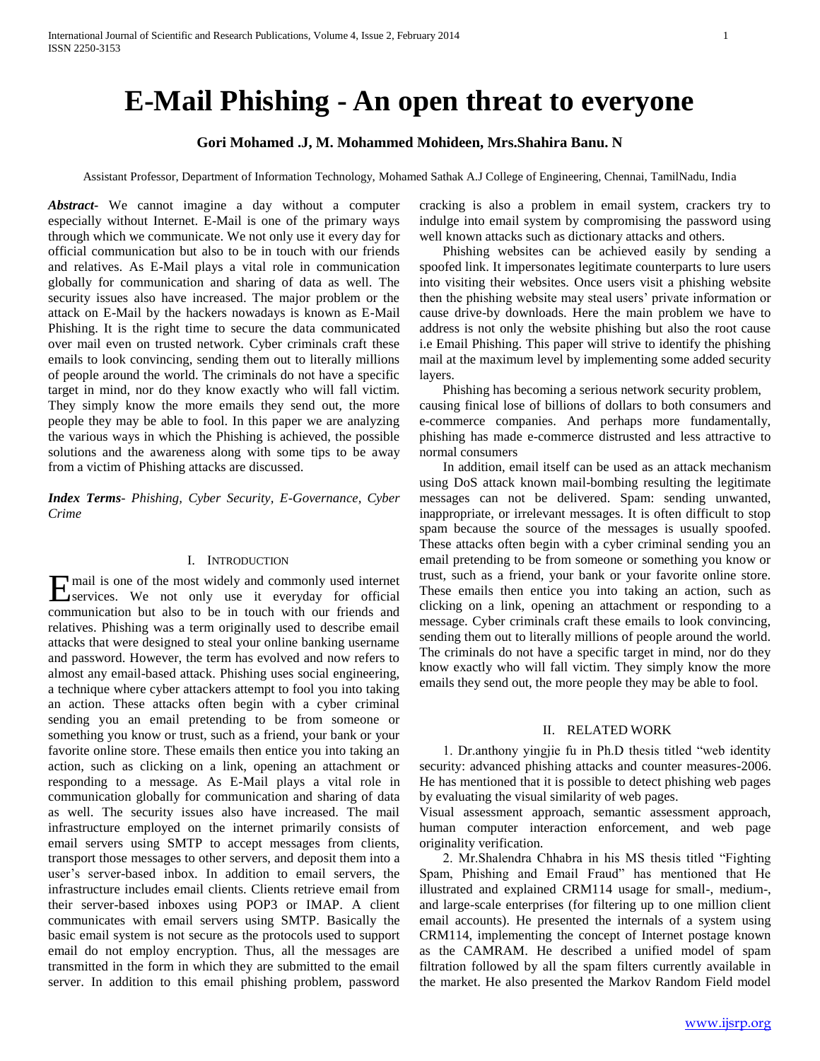# **E-Mail Phishing - An open threat to everyone**

# **Gori Mohamed .J, M. Mohammed Mohideen, Mrs.Shahira Banu. N**

Assistant Professor, Department of Information Technology, Mohamed Sathak A.J College of Engineering, Chennai, TamilNadu, India

*Abstract***-** We cannot imagine a day without a computer especially without Internet. E-Mail is one of the primary ways through which we communicate. We not only use it every day for official communication but also to be in touch with our friends and relatives. As E-Mail plays a vital role in communication globally for communication and sharing of data as well. The security issues also have increased. The major problem or the attack on E-Mail by the hackers nowadays is known as E-Mail Phishing. It is the right time to secure the data communicated over mail even on trusted network. Cyber criminals craft these emails to look convincing, sending them out to literally millions of people around the world. The criminals do not have a specific target in mind, nor do they know exactly who will fall victim. They simply know the more emails they send out, the more people they may be able to fool. In this paper we are analyzing the various ways in which the Phishing is achieved, the possible solutions and the awareness along with some tips to be away from a victim of Phishing attacks are discussed.

*Index Terms*- *Phishing, Cyber Security, E-Governance, Cyber Crime*

## I. INTRODUCTION

mail is one of the most widely and commonly used internet **E** mail is one of the most widely and commonly used internet services. We not only use it everyday for official communication but also to be in touch with our friends and relatives. Phishing was a term originally used to describe email attacks that were designed to steal your online banking username and password. However, the term has evolved and now refers to almost any email-based attack. Phishing uses social engineering, a technique where cyber attackers attempt to fool you into taking an action. These attacks often begin with a cyber criminal sending you an email pretending to be from someone or something you know or trust, such as a friend, your bank or your favorite online store. These emails then entice you into taking an action, such as clicking on a link, opening an attachment or responding to a message. As E-Mail plays a vital role in communication globally for communication and sharing of data as well. The security issues also have increased. The mail infrastructure employed on the internet primarily consists of email servers using SMTP to accept messages from clients, transport those messages to other servers, and deposit them into a user's server-based inbox. In addition to email servers, the infrastructure includes email clients. Clients retrieve email from their server-based inboxes using POP3 or IMAP. A client communicates with email servers using SMTP. Basically the basic email system is not secure as the protocols used to support email do not employ encryption. Thus, all the messages are transmitted in the form in which they are submitted to the email server. In addition to this email phishing problem, password

cracking is also a problem in email system, crackers try to indulge into email system by compromising the password using well known attacks such as dictionary attacks and others.

 Phishing websites can be achieved easily by sending a spoofed link. It impersonates legitimate counterparts to lure users into visiting their websites. Once users visit a phishing website then the phishing website may steal users' private information or cause drive-by downloads. Here the main problem we have to address is not only the website phishing but also the root cause i.e Email Phishing. This paper will strive to identify the phishing mail at the maximum level by implementing some added security layers.

 Phishing has becoming a serious network security problem, causing finical lose of billions of dollars to both consumers and e-commerce companies. And perhaps more fundamentally, phishing has made e-commerce distrusted and less attractive to normal consumers

 In addition, email itself can be used as an attack mechanism using DoS attack known mail-bombing resulting the legitimate messages can not be delivered. Spam: sending unwanted, inappropriate, or irrelevant messages. It is often difficult to stop spam because the source of the messages is usually spoofed. These attacks often begin with a cyber criminal sending you an email pretending to be from someone or something you know or trust, such as a friend, your bank or your favorite online store. These emails then entice you into taking an action, such as clicking on a link, opening an attachment or responding to a message. Cyber criminals craft these emails to look convincing, sending them out to literally millions of people around the world. The criminals do not have a specific target in mind, nor do they know exactly who will fall victim. They simply know the more emails they send out, the more people they may be able to fool.

## II. RELATED WORK

 1. Dr.anthony yingjie fu in Ph.D thesis titled "web identity security: advanced phishing attacks and counter measures-2006. He has mentioned that it is possible to detect phishing web pages by evaluating the visual similarity of web pages.

Visual assessment approach, semantic assessment approach, human computer interaction enforcement, and web page originality verification.

 2. Mr.Shalendra Chhabra in his MS thesis titled "Fighting Spam, Phishing and Email Fraud" has mentioned that He illustrated and explained CRM114 usage for small-, medium-, and large-scale enterprises (for filtering up to one million client email accounts). He presented the internals of a system using CRM114, implementing the concept of Internet postage known as the CAMRAM. He described a unified model of spam filtration followed by all the spam filters currently available in the market. He also presented the Markov Random Field model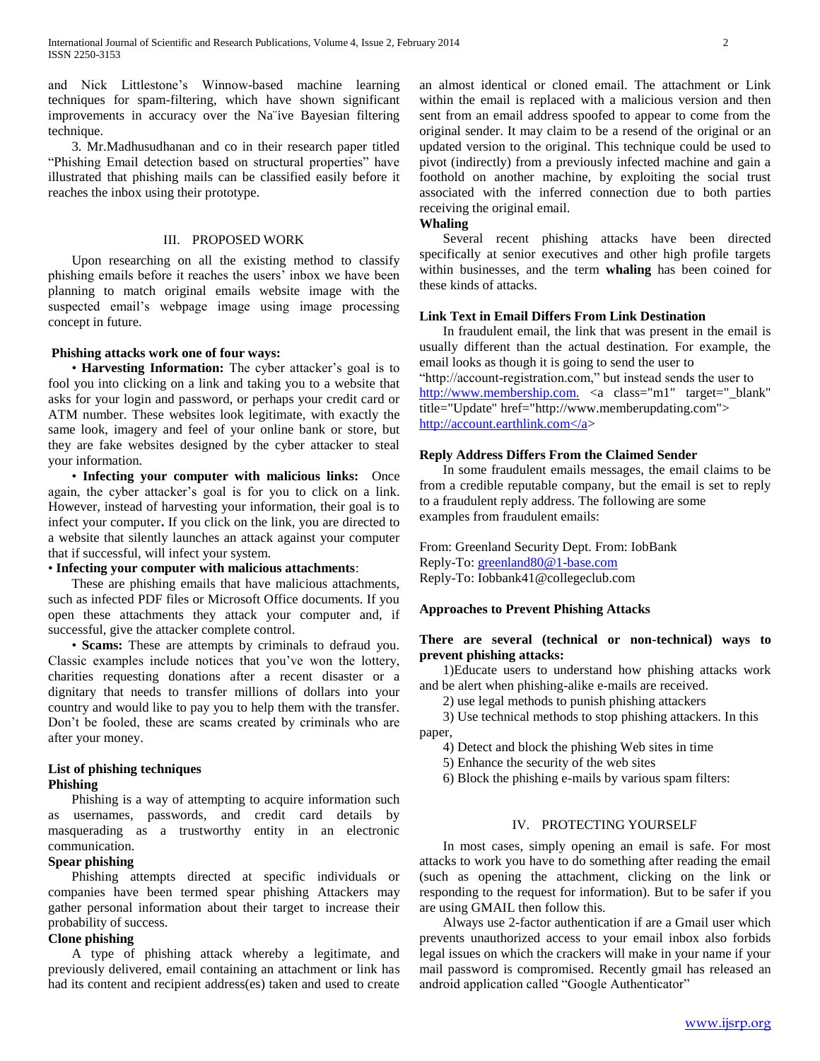and Nick Littlestone's Winnow-based machine learning techniques for spam-filtering, which have shown significant improvements in accuracy over the Na¨ive Bayesian filtering technique.

 3. Mr.Madhusudhanan and co in their research paper titled "Phishing Email detection based on structural properties" have illustrated that phishing mails can be classified easily before it reaches the inbox using their prototype.

## III. PROPOSED WORK

 Upon researching on all the existing method to classify phishing emails before it reaches the users' inbox we have been planning to match original emails website image with the suspected email's webpage image using image processing concept in future.

## **Phishing attacks work one of four ways:**

 • **Harvesting Information:** The cyber attacker's goal is to fool you into clicking on a link and taking you to a website that asks for your login and password, or perhaps your credit card or ATM number. These websites look legitimate, with exactly the same look, imagery and feel of your online bank or store, but they are fake websites designed by the cyber attacker to steal your information.

 • **Infecting your computer with malicious links:** Once again, the cyber attacker's goal is for you to click on a link. However, instead of harvesting your information, their goal is to infect your computer**.** If you click on the link, you are directed to a website that silently launches an attack against your computer that if successful, will infect your system.

# • **Infecting your computer with malicious attachments**:

 These are phishing emails that have malicious attachments, such as infected PDF files or Microsoft Office documents. If you open these attachments they attack your computer and, if successful, give the attacker complete control.

 • **Scams:** These are attempts by criminals to defraud you. Classic examples include notices that you've won the lottery, charities requesting donations after a recent disaster or a dignitary that needs to transfer millions of dollars into your country and would like to pay you to help them with the transfer. Don't be fooled, these are scams created by criminals who are after your money.

## **List of phishing techniques Phishing**

 Phishing is a way of attempting to acquire information such as usernames, passwords, and credit card details by masquerading as a trustworthy entity in an electronic communication.

# **Spear phishing**

 Phishing attempts directed at specific individuals or companies have been termed spear phishing Attackers may gather personal information about their target to increase their probability of success.

## **Clone phishing**

 A type of phishing attack whereby a legitimate, and previously delivered, email containing an attachment or link has had its content and recipient address(es) taken and used to create an almost identical or cloned email. The attachment or Link within the email is replaced with a malicious version and then sent from an email address spoofed to appear to come from the original sender. It may claim to be a resend of the original or an updated version to the original. This technique could be used to pivot (indirectly) from a previously infected machine and gain a foothold on another machine, by exploiting the social trust associated with the inferred connection due to both parties receiving the original email.

## **Whaling**

 Several recent phishing attacks have been directed specifically at senior executives and other high profile targets within businesses, and the term **whaling** has been coined for these kinds of attacks.

## **Link Text in Email Differs From Link Destination**

 In fraudulent email, the link that was present in the email is usually different than the actual destination. For example, the email looks as though it is going to send the user to "http://account-registration.com," but instead sends the user to [http://www.membership.com.](http://www.membership.com./) <a class="m1" target="\_blank" title="Update" href="http://www.memberupdating.com"> http://account.earthlink.com</a>

## **Reply Address Differs From the Claimed Sender**

 In some fraudulent emails messages, the email claims to be from a credible reputable company, but the email is set to reply to a fraudulent reply address. The following are some examples from fraudulent emails:

From: Greenland Security Dept. From: IobBank Reply-To: [greenland80@1-base.com](mailto:greenland80@1-base.com) Reply-To: Iobbank41@collegeclub.com

## **Approaches to Prevent Phishing Attacks**

## **There are several (technical or non-technical) ways to prevent phishing attacks:**

 1)Educate users to understand how phishing attacks work and be alert when phishing-alike e-mails are received.

2) use legal methods to punish phishing attackers

 3) Use technical methods to stop phishing attackers. In this paper,

4) Detect and block the phishing Web sites in time

5) Enhance the security of the web sites

6) Block the phishing e-mails by various spam filters:

## IV. PROTECTING YOURSELF

 In most cases, simply opening an email is safe. For most attacks to work you have to do something after reading the email (such as opening the attachment, clicking on the link or responding to the request for information). But to be safer if you are using GMAIL then follow this.

 Always use 2-factor authentication if are a Gmail user which prevents unauthorized access to your email inbox also forbids legal issues on which the crackers will make in your name if your mail password is compromised. Recently gmail has released an android application called "Google Authenticator"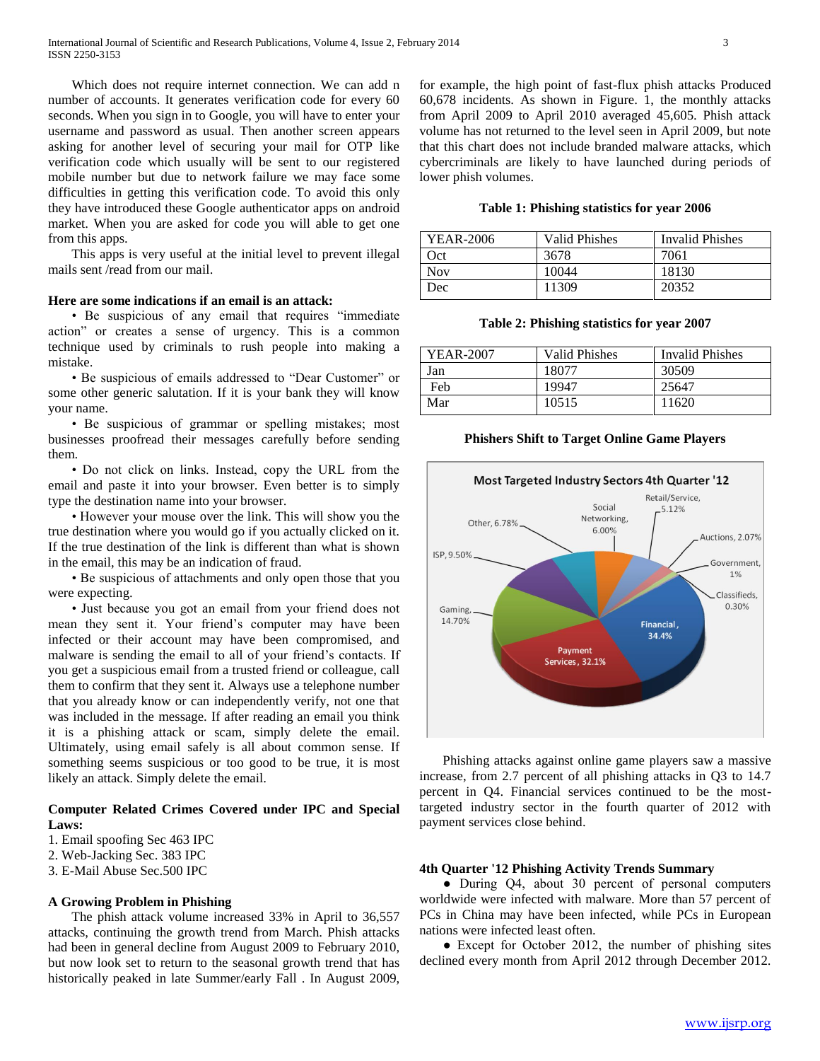Which does not require internet connection. We can add n number of accounts. It generates verification code for every 60 seconds. When you sign in to Google, you will have to enter your username and password as usual. Then another screen appears asking for another level of securing your mail for OTP like verification code which usually will be sent to our registered mobile number but due to network failure we may face some difficulties in getting this verification code. To avoid this only they have introduced these Google authenticator apps on android market. When you are asked for code you will able to get one from this apps.

 This apps is very useful at the initial level to prevent illegal mails sent /read from our mail.

## **Here are some indications if an email is an attack:**

 • Be suspicious of any email that requires "immediate action" or creates a sense of urgency. This is a common technique used by criminals to rush people into making a mistake.

 • Be suspicious of emails addressed to "Dear Customer" or some other generic salutation. If it is your bank they will know your name.

 • Be suspicious of grammar or spelling mistakes; most businesses proofread their messages carefully before sending them.

 • Do not click on links. Instead, copy the URL from the email and paste it into your browser. Even better is to simply type the destination name into your browser.

 • However your mouse over the link. This will show you the true destination where you would go if you actually clicked on it. If the true destination of the link is different than what is shown in the email, this may be an indication of fraud.

 • Be suspicious of attachments and only open those that you were expecting.

 • Just because you got an email from your friend does not mean they sent it. Your friend's computer may have been infected or their account may have been compromised, and malware is sending the email to all of your friend's contacts. If you get a suspicious email from a trusted friend or colleague, call them to confirm that they sent it. Always use a telephone number that you already know or can independently verify, not one that was included in the message. If after reading an email you think it is a phishing attack or scam, simply delete the email. Ultimately, using email safely is all about common sense. If something seems suspicious or too good to be true, it is most likely an attack. Simply delete the email.

## **Computer Related Crimes Covered under IPC and Special Laws:**

- 1. Email spoofing Sec 463 IPC
- 2. Web-Jacking Sec. 383 IPC
- 3. E-Mail Abuse Sec.500 IPC

#### **A Growing Problem in Phishing**

 The phish attack volume increased 33% in April to 36,557 attacks, continuing the growth trend from March. Phish attacks had been in general decline from August 2009 to February 2010, but now look set to return to the seasonal growth trend that has historically peaked in late Summer/early Fall . In August 2009,

for example, the high point of fast-flux phish attacks Produced 60,678 incidents. As shown in Figure. 1, the monthly attacks from April 2009 to April 2010 averaged 45,605. Phish attack volume has not returned to the level seen in April 2009, but note that this chart does not include branded malware attacks, which cybercriminals are likely to have launched during periods of lower phish volumes.

#### **Table 1: Phishing statistics for year 2006**

| YEAR-2006  | <b>Valid Phishes</b> | <b>Invalid Phishes</b> |
|------------|----------------------|------------------------|
| Oct        | 3678                 | 7061                   |
| <b>Nov</b> | 10044                | 18130                  |
| Dec        | 11309                | 20352                  |

**Table 2: Phishing statistics for year 2007**

| YEAR-2007 | Valid Phishes | <b>Invalid Phishes</b> |
|-----------|---------------|------------------------|
| Jan       | 18077         | 30509                  |
| Feb       | 19947         | 25647                  |
| Mar       | 10515         | 11620                  |

#### **Phishers Shift to Target Online Game Players**



 Phishing attacks against online game players saw a massive increase, from 2.7 percent of all phishing attacks in Q3 to 14.7 percent in Q4. Financial services continued to be the mosttargeted industry sector in the fourth quarter of 2012 with payment services close behind.

### **4th Quarter '12 Phishing Activity Trends Summary**

• During Q4, about 30 percent of personal computers worldwide were infected with malware. More than 57 percent of PCs in China may have been infected, while PCs in European nations were infected least often.

• Except for October 2012, the number of phishing sites declined every month from April 2012 through December 2012.